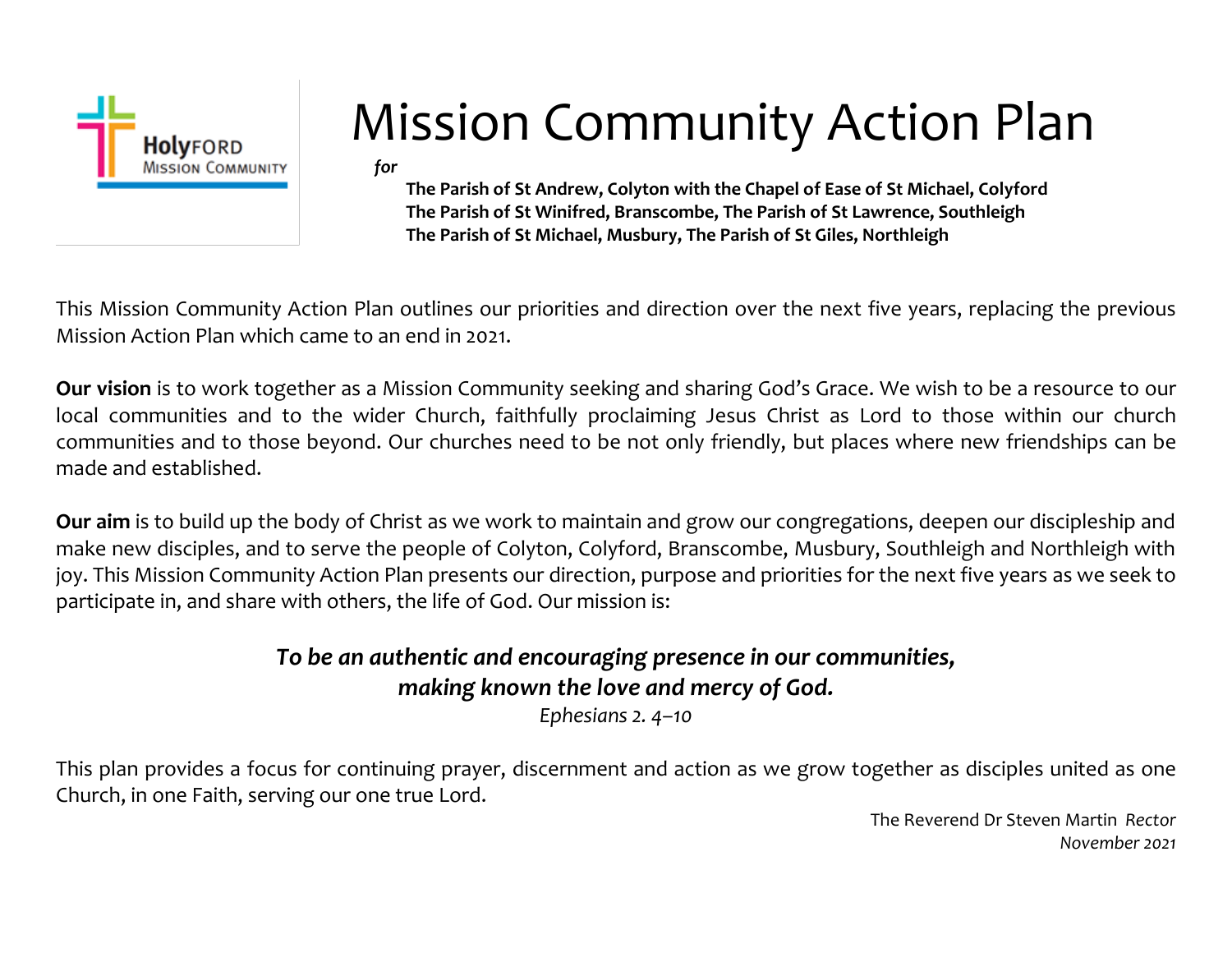

# Mission Community Action Plan

*for*

**The Parish of St Andrew, Colyton with the Chapel of Ease of St Michael, Colyford The Parish of St Winifred, Branscombe, The Parish of St Lawrence, Southleigh The Parish of St Michael, Musbury, The Parish of St Giles, Northleigh** 

This Mission Community Action Plan outlines our priorities and direction over the next five years, replacing the previous Mission Action Plan which came to an end in 2021.

**Our vision** is to work together as a Mission Community seeking and sharing God's Grace. We wish to be a resource to our local communities and to the wider Church, faithfully proclaiming Jesus Christ as Lord to those within our church communities and to those beyond. Our churches need to be not only friendly, but places where new friendships can be made and established.

**Our aim** is to build up the body of Christ as we work to maintain and grow our congregations, deepen our discipleship and make new disciples, and to serve the people of Colyton, Colyford, Branscombe, Musbury, Southleigh and Northleigh with joy. This Mission Community Action Plan presents our direction, purpose and priorities for the next five years as we seek to participate in, and share with others, the life of God. Our mission is:

#### *To be an authentic and encouraging presence in our communities, making known the love and mercy of God.*

*Ephesians 2. 4–10*

This plan provides a focus for continuing prayer, discernment and action as we grow together as disciples united as one Church, in one Faith, serving our one true Lord.

> The Reverend Dr Steven Martin *Rector November 2021*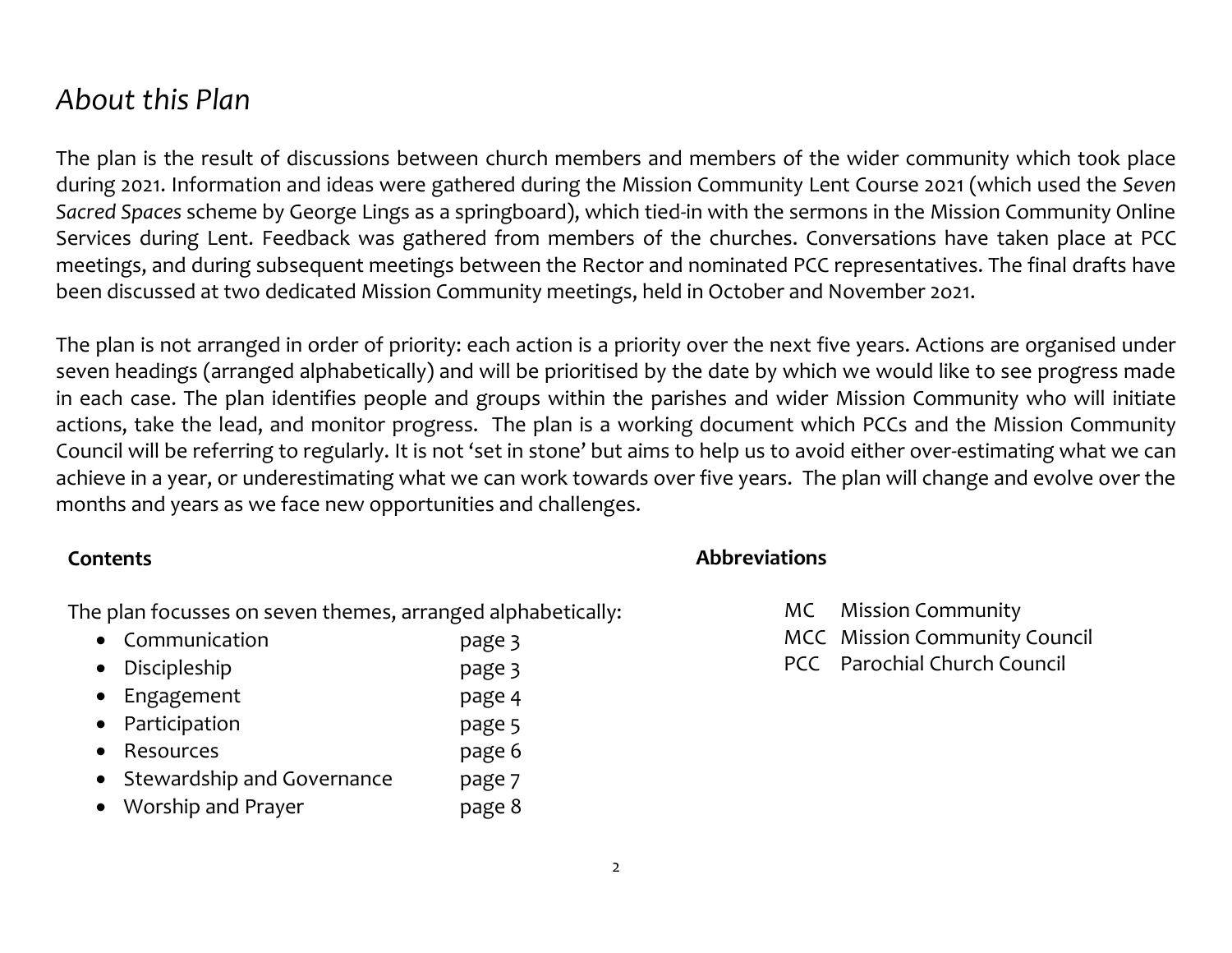#### *About this Plan*

The plan is the result of discussions between church members and members of the wider community which took place during 2021. Information and ideas were gathered during the Mission Community Lent Course 2021 (which used the *Seven Sacred Spaces* scheme by George Lings as a springboard), which tied-in with the sermons in the Mission Community Online Services during Lent. Feedback was gathered from members of the churches. Conversations have taken place at PCC meetings, and during subsequent meetings between the Rector and nominated PCC representatives. The final drafts have been discussed at two dedicated Mission Community meetings, held in October and November 2o21.

The plan is not arranged in order of priority: each action is a priority over the next five years. Actions are organised under seven headings (arranged alphabetically) and will be prioritised by the date by which we would like to see progress made in each case. The plan identifies people and groups within the parishes and wider Mission Community who will initiate actions, take the lead, and monitor progress. The plan is a working document which PCCs and the Mission Community Council will be referring to regularly. It is not 'set in stone' but aims to help us to avoid either over-estimating what we can achieve in a year, or underestimating what we can work towards over five years. The plan will change and evolve over the months and years as we face new opportunities and challenges.

#### **Contents**

The plan focusses on seven themes, arranged alphabetically:

| • Communication            | page 3 |
|----------------------------|--------|
| • Discipleship             | page 3 |
| • Engagement               | page 4 |
| • Participation            | page 5 |
| • Resources                | page 6 |
| Stewardship and Governance | page 7 |
| • Worship and Prayer       | page 8 |

**Abbreviations**

- MC Mission Community
- MCC Mission Community Council
- PCC Parochial Church Council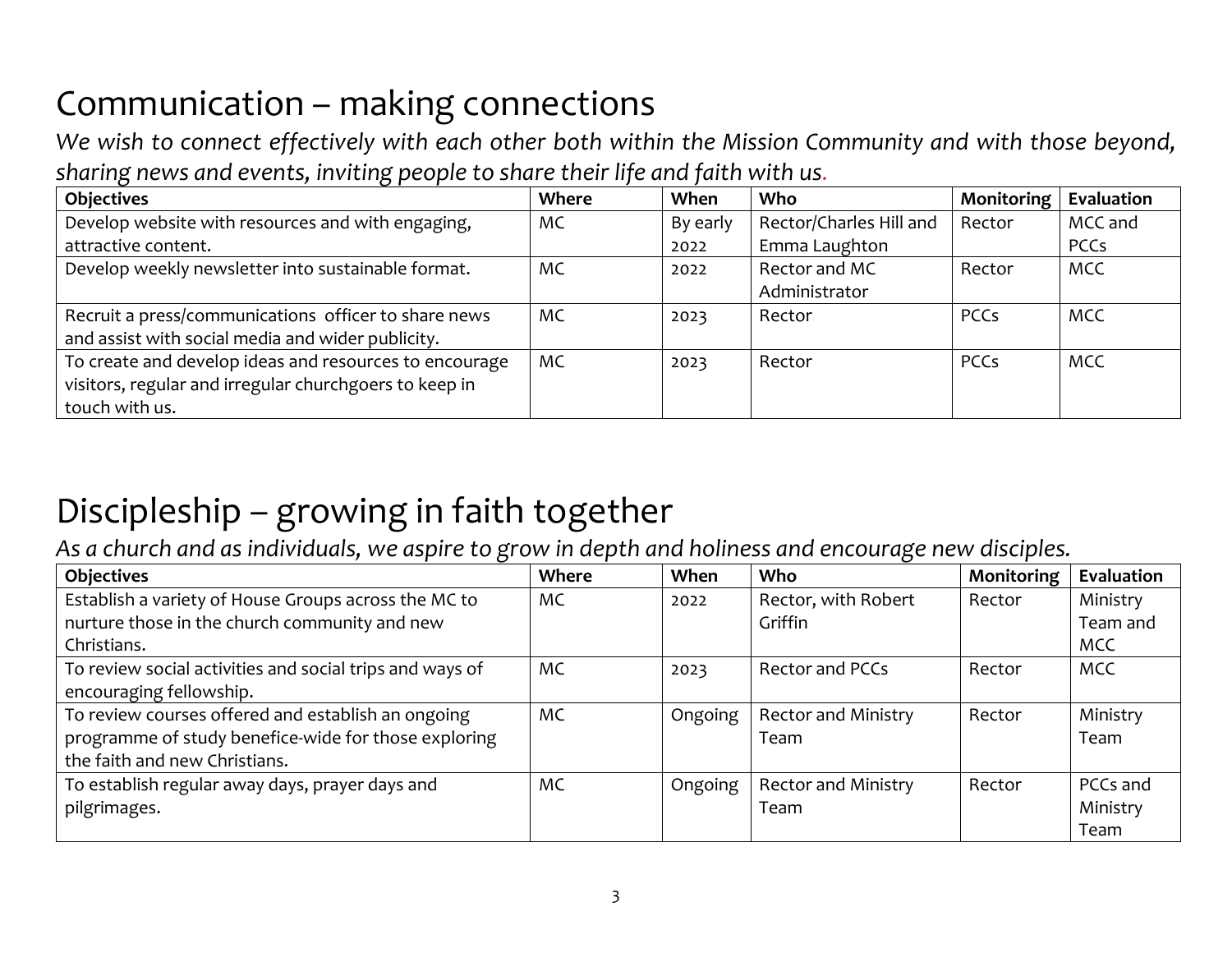#### Communication – making connections

*We wish to connect effectively with each other both within the Mission Community and with those beyond, sharing news and events, inviting people to share their life and faith with us.*

| <b>Objectives</b>                                      | <b>Where</b> | When     | Who                     | Monitoring  | Evaluation  |
|--------------------------------------------------------|--------------|----------|-------------------------|-------------|-------------|
| Develop website with resources and with engaging,      | MC           | By early | Rector/Charles Hill and | Rector      | MCC and     |
| attractive content.                                    |              | 2022     | Emma Laughton           |             | <b>PCCs</b> |
| Develop weekly newsletter into sustainable format.     | <b>MC</b>    | 2022     | Rector and MC           | Rector      | MCC         |
|                                                        |              |          | Administrator           |             |             |
| Recruit a press/communications officer to share news   | <b>MC</b>    | 2023     | Rector                  | <b>PCCs</b> | <b>MCC</b>  |
| and assist with social media and wider publicity.      |              |          |                         |             |             |
| To create and develop ideas and resources to encourage | MC           | 2023     | Rector                  | <b>PCCs</b> | <b>MCC</b>  |
| visitors, regular and irregular churchgoers to keep in |              |          |                         |             |             |
| touch with us.                                         |              |          |                         |             |             |

#### Discipleship – growing in faith together

*As a church and as individuals, we aspire to grow in depth and holiness and encourage new disciples.* 

| <b>Objectives</b>                                        | Where | When    | <b>Who</b>                 | Monitoring | Evaluation |
|----------------------------------------------------------|-------|---------|----------------------------|------------|------------|
| Establish a variety of House Groups across the MC to     | MC    | 2022    | Rector, with Robert        | Rector     | Ministry   |
| nurture those in the church community and new            |       |         | Griffin                    |            | Team and   |
| Christians.                                              |       |         |                            |            | <b>MCC</b> |
| To review social activities and social trips and ways of | MC    | 2023    | <b>Rector and PCCs</b>     | Rector     | <b>MCC</b> |
| encouraging fellowship.                                  |       |         |                            |            |            |
| To review courses offered and establish an ongoing       | MC    | Ongoing | <b>Rector and Ministry</b> | Rector     | Ministry   |
| programme of study benefice-wide for those exploring     |       |         | Team                       |            | Team       |
| the faith and new Christians.                            |       |         |                            |            |            |
| To establish regular away days, prayer days and          | MC    | Ongoing | <b>Rector and Ministry</b> | Rector     | PCCs and   |
| pilgrimages.                                             |       |         | Team                       |            | Ministry   |
|                                                          |       |         |                            |            | Team       |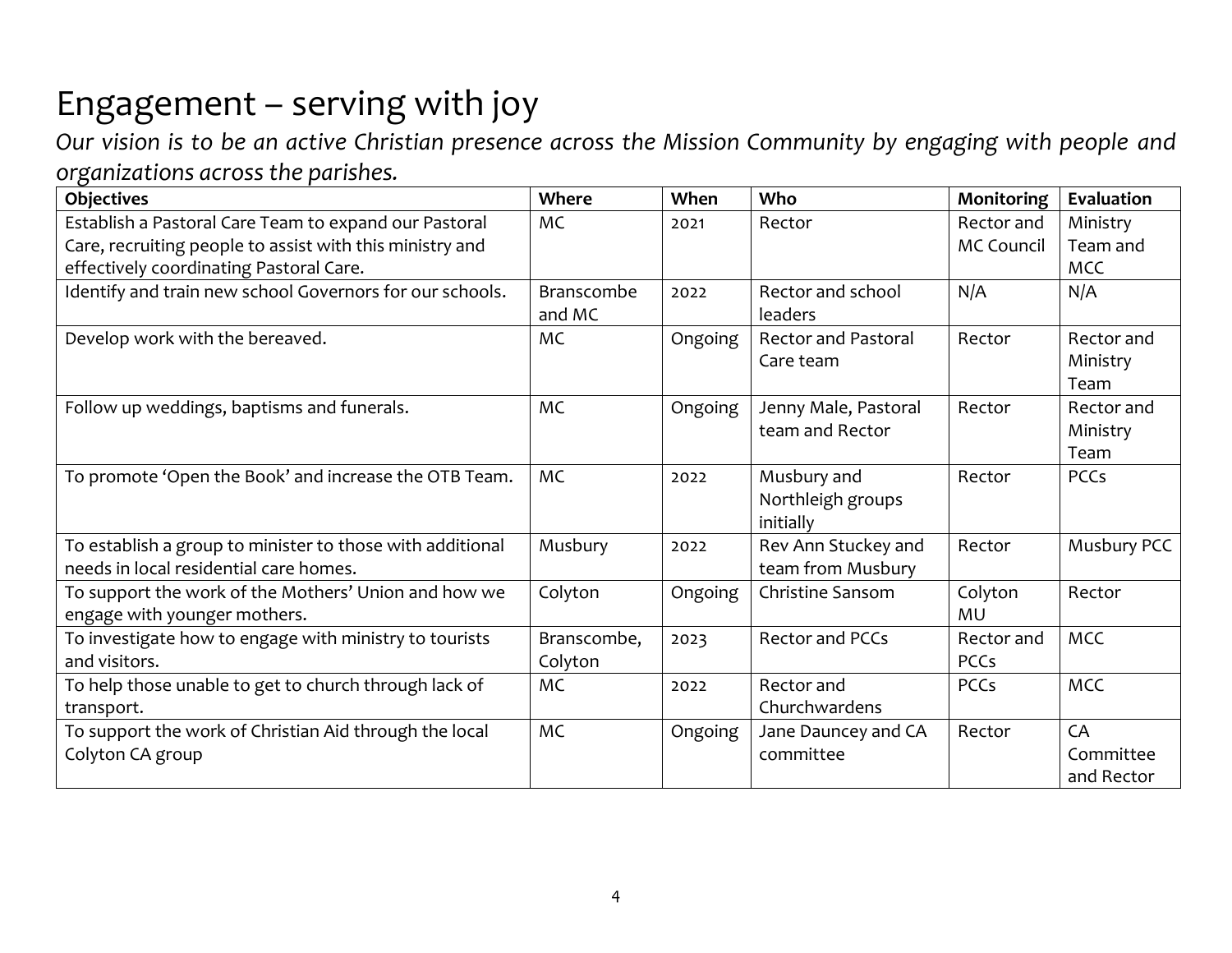### Engagement – serving with joy

*Our vision is to be an active Christian presence across the Mission Community by engaging with people and organizations across the parishes.* 

| <b>Objectives</b>                                         | Where             | When    | Who                        | Monitoring        | Evaluation  |
|-----------------------------------------------------------|-------------------|---------|----------------------------|-------------------|-------------|
| Establish a Pastoral Care Team to expand our Pastoral     | <b>MC</b>         | 2021    | Rector                     | Rector and        | Ministry    |
| Care, recruiting people to assist with this ministry and  |                   |         |                            | <b>MC Council</b> | Team and    |
| effectively coordinating Pastoral Care.                   |                   |         |                            |                   | <b>MCC</b>  |
| Identify and train new school Governors for our schools.  | <b>Branscombe</b> | 2022    | Rector and school          | N/A               | N/A         |
|                                                           | and MC            |         | <b>leaders</b>             |                   |             |
| Develop work with the bereaved.                           | <b>MC</b>         | Ongoing | <b>Rector and Pastoral</b> | Rector            | Rector and  |
|                                                           |                   |         | Care team                  |                   | Ministry    |
|                                                           |                   |         |                            |                   | Team        |
| Follow up weddings, baptisms and funerals.                | <b>MC</b>         | Ongoing | Jenny Male, Pastoral       | Rector            | Rector and  |
|                                                           |                   |         | team and Rector            |                   | Ministry    |
|                                                           |                   |         |                            |                   | Team        |
| To promote 'Open the Book' and increase the OTB Team.     | <b>MC</b>         | 2022    | Musbury and                | Rector            | <b>PCCs</b> |
|                                                           |                   |         | Northleigh groups          |                   |             |
|                                                           |                   |         | initially                  |                   |             |
| To establish a group to minister to those with additional | Musbury           | 2022    | Rev Ann Stuckey and        | Rector            | Musbury PCC |
| needs in local residential care homes.                    |                   |         | team from Musbury          |                   |             |
| To support the work of the Mothers' Union and how we      | Colyton           | Ongoing | Christine Sansom           | Colyton           | Rector      |
| engage with younger mothers.                              |                   |         |                            | MU                |             |
| To investigate how to engage with ministry to tourists    | Branscombe,       | 2023    | <b>Rector and PCCs</b>     | Rector and        | <b>MCC</b>  |
| and visitors.                                             | Colyton           |         |                            | <b>PCCs</b>       |             |
| To help those unable to get to church through lack of     | <b>MC</b>         | 2022    | Rector and                 | <b>PCCs</b>       | <b>MCC</b>  |
| transport.                                                |                   |         | Churchwardens              |                   |             |
| To support the work of Christian Aid through the local    | <b>MC</b>         | Ongoing | Jane Dauncey and CA        | Rector            | CA          |
| Colyton CA group                                          |                   |         | committee                  |                   | Committee   |
|                                                           |                   |         |                            |                   | and Rector  |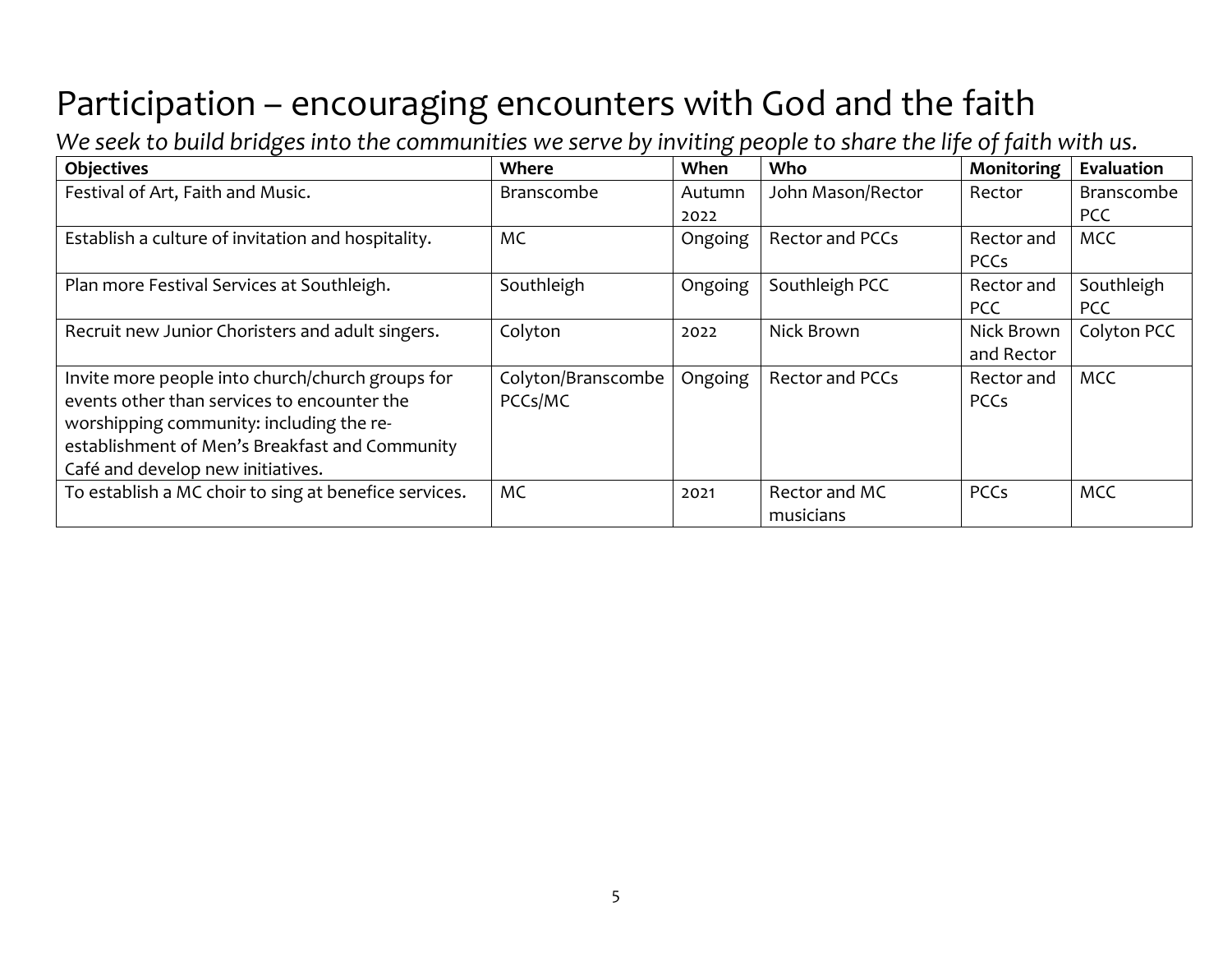### Participation – encouraging encounters with God and the faith

*We seek to build bridges into the communities we serve by inviting people to share the life of faith with us.*

| <b>Objectives</b>                                     | Where              | When    | Who                    | Monitoring  | Evaluation  |
|-------------------------------------------------------|--------------------|---------|------------------------|-------------|-------------|
| Festival of Art, Faith and Music.                     | <b>Branscombe</b>  | Autumn  | John Mason/Rector      | Rector      | Branscombe  |
|                                                       |                    | 2022    |                        |             | <b>PCC</b>  |
| Establish a culture of invitation and hospitality.    | МC                 | Ongoing | Rector and PCCs        | Rector and  | <b>MCC</b>  |
|                                                       |                    |         |                        | PCCs        |             |
| Plan more Festival Services at Southleigh.            | Southleigh         | Ongoing | Southleigh PCC         | Rector and  | Southleigh  |
|                                                       |                    |         |                        | <b>PCC</b>  | <b>PCC</b>  |
| Recruit new Junior Choristers and adult singers.      | Colyton            | 2022    | Nick Brown             | Nick Brown  | Colyton PCC |
|                                                       |                    |         |                        | and Rector  |             |
| Invite more people into church/church groups for      | Colyton/Branscombe | Ongoing | <b>Rector and PCCs</b> | Rector and  | <b>MCC</b>  |
| events other than services to encounter the           | PCCs/MC            |         |                        | <b>PCCs</b> |             |
| worshipping community: including the re-              |                    |         |                        |             |             |
| establishment of Men's Breakfast and Community        |                    |         |                        |             |             |
| Café and develop new initiatives.                     |                    |         |                        |             |             |
| To establish a MC choir to sing at benefice services. | <b>MC</b>          | 2021    | Rector and MC          | <b>PCCs</b> | <b>MCC</b>  |
|                                                       |                    |         | musicians              |             |             |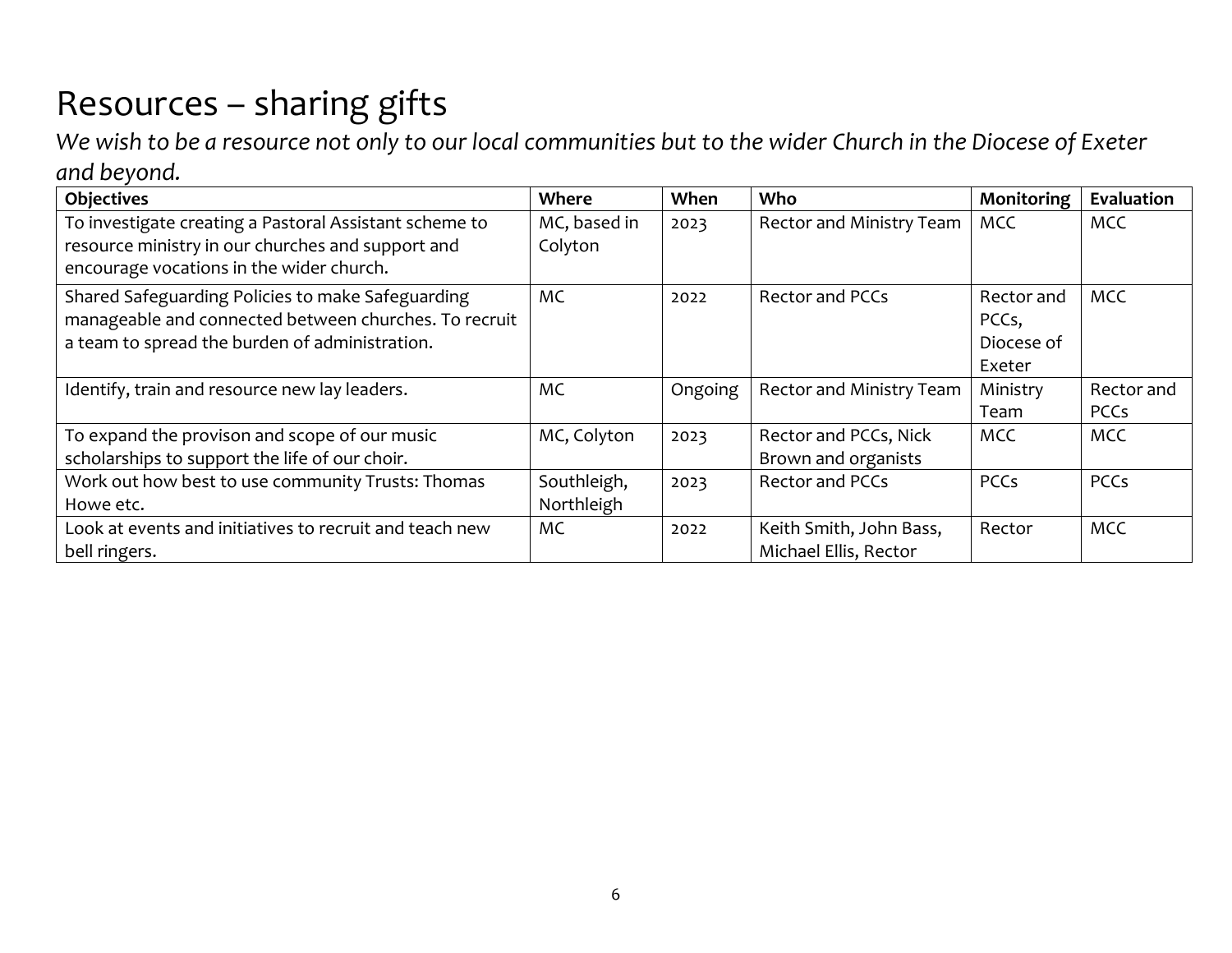## Resources – sharing gifts

*We wish to be a resource not only to our local communities but to the wider Church in the Diocese of Exeter and beyond.* 

| <b>Objectives</b>                                       | Where        | When    | Who                      | Monitoring  | Evaluation  |
|---------------------------------------------------------|--------------|---------|--------------------------|-------------|-------------|
| To investigate creating a Pastoral Assistant scheme to  | MC, based in | 2023    | Rector and Ministry Team | <b>MCC</b>  | <b>MCC</b>  |
| resource ministry in our churches and support and       | Colyton      |         |                          |             |             |
| encourage vocations in the wider church.                |              |         |                          |             |             |
| Shared Safeguarding Policies to make Safeguarding       | <b>MC</b>    | 2022    | Rector and PCCs          | Rector and  | <b>MCC</b>  |
| manageable and connected between churches. To recruit   |              |         |                          | PCCs,       |             |
| a team to spread the burden of administration.          |              |         |                          | Diocese of  |             |
|                                                         |              |         |                          | Exeter      |             |
| Identify, train and resource new lay leaders.           | MC           | Ongoing | Rector and Ministry Team | Ministry    | Rector and  |
|                                                         |              |         |                          | Team        | <b>PCCs</b> |
| To expand the provison and scope of our music           | MC, Colyton  | 2023    | Rector and PCCs, Nick    | <b>MCC</b>  | MCC         |
| scholarships to support the life of our choir.          |              |         | Brown and organists      |             |             |
| Work out how best to use community Trusts: Thomas       | Southleigh,  | 2023    | <b>Rector and PCCs</b>   | <b>PCCs</b> | <b>PCCs</b> |
| Howe etc.                                               | Northleigh   |         |                          |             |             |
| Look at events and initiatives to recruit and teach new | МC           | 2022    | Keith Smith, John Bass,  | Rector      | <b>MCC</b>  |
| bell ringers.                                           |              |         | Michael Ellis, Rector    |             |             |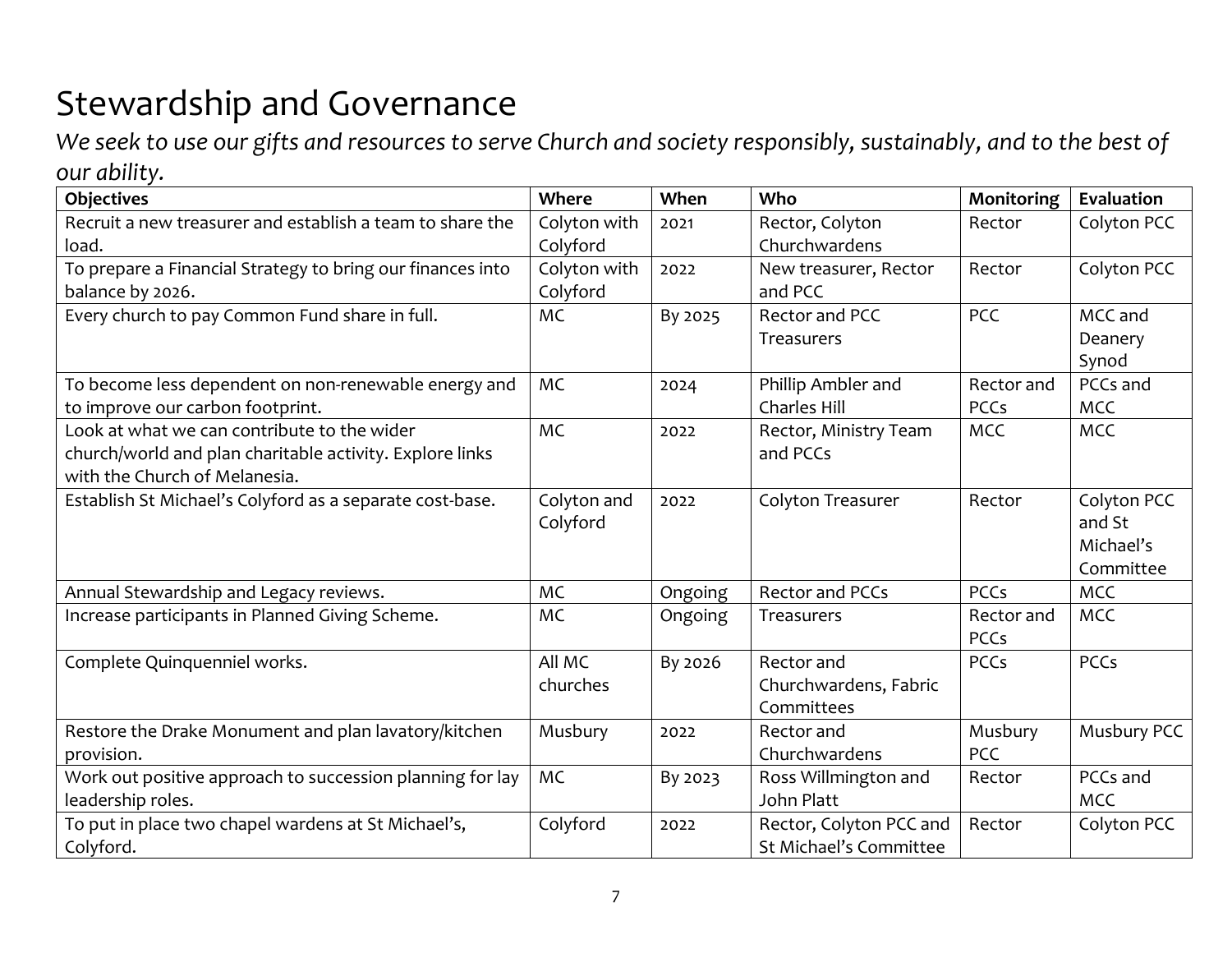### Stewardship and Governance

*We seek to use our gifts and resources to serve Church and society responsibly, sustainably, and to the best of our ability.* 

| <b>Objectives</b>                                          | Where        | When    | Who                     | Monitoring  | Evaluation  |
|------------------------------------------------------------|--------------|---------|-------------------------|-------------|-------------|
| Recruit a new treasurer and establish a team to share the  | Colyton with | 2021    | Rector, Colyton         | Rector      | Colyton PCC |
| load.                                                      | Colyford     |         | Churchwardens           |             |             |
| To prepare a Financial Strategy to bring our finances into | Colyton with | 2022    | New treasurer, Rector   | Rector      | Colyton PCC |
| balance by 2026.                                           | Colyford     |         | and PCC                 |             |             |
| Every church to pay Common Fund share in full.             | <b>MC</b>    | By 2025 | Rector and PCC          | <b>PCC</b>  | MCC and     |
|                                                            |              |         | Treasurers              |             | Deanery     |
|                                                            |              |         |                         |             | Synod       |
| To become less dependent on non-renewable energy and       | <b>MC</b>    | 2024    | Phillip Ambler and      | Rector and  | PCCs and    |
| to improve our carbon footprint.                           |              |         | <b>Charles Hill</b>     | <b>PCCs</b> | <b>MCC</b>  |
| Look at what we can contribute to the wider                | <b>MC</b>    | 2022    | Rector, Ministry Team   | <b>MCC</b>  | <b>MCC</b>  |
| church/world and plan charitable activity. Explore links   |              |         | and PCCs                |             |             |
| with the Church of Melanesia.                              |              |         |                         |             |             |
| Establish St Michael's Colyford as a separate cost-base.   | Colyton and  | 2022    | Colyton Treasurer       | Rector      | Colyton PCC |
|                                                            | Colyford     |         |                         |             | and St      |
|                                                            |              |         |                         |             | Michael's   |
|                                                            |              |         |                         |             | Committee   |
| Annual Stewardship and Legacy reviews.                     | <b>MC</b>    | Ongoing | Rector and PCCs         | <b>PCCs</b> | <b>MCC</b>  |
| Increase participants in Planned Giving Scheme.            | <b>MC</b>    | Ongoing | <b>Treasurers</b>       | Rector and  | <b>MCC</b>  |
|                                                            |              |         |                         | <b>PCCs</b> |             |
| Complete Quinquenniel works.                               | All MC       | By 2026 | Rector and              | <b>PCCs</b> | <b>PCCs</b> |
|                                                            | churches     |         | Churchwardens, Fabric   |             |             |
|                                                            |              |         | Committees              |             |             |
| Restore the Drake Monument and plan lavatory/kitchen       | Musbury      | 2022    | Rector and              | Musbury     | Musbury PCC |
| provision.                                                 |              |         | Churchwardens           | <b>PCC</b>  |             |
| Work out positive approach to succession planning for lay  | <b>MC</b>    | By 2023 | Ross Willmington and    | Rector      | PCCs and    |
| leadership roles.                                          |              |         | John Platt              |             | <b>MCC</b>  |
| To put in place two chapel wardens at St Michael's,        | Colyford     | 2022    | Rector, Colyton PCC and | Rector      | Colyton PCC |
| Colyford.                                                  |              |         | St Michael's Committee  |             |             |